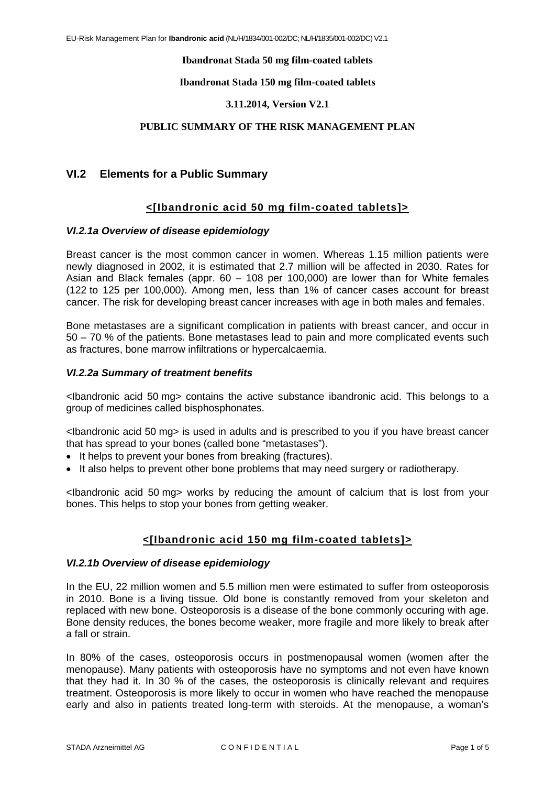### **Ibandronat Stada 50 mg film-coated tablets**

### **Ibandronat Stada 150 mg film-coated tablets**

### **3.11.2014, Version V2.1**

### **PUBLIC SUMMARY OF THE RISK MANAGEMENT PLAN**

# **VI.2 Elements for a Public Summary**

## **<[Ibandronic acid 50 mg film-coated tablets]>**

### *VI.2.1a Overview of disease epidemiology*

Breast cancer is the most common cancer in women. Whereas 1.15 million patients were newly diagnosed in 2002, it is estimated that 2.7 million will be affected in 2030. Rates for Asian and Black females (appr. 60 – 108 per 100,000) are lower than for White females (122 to 125 per 100,000). Among men, less than 1% of cancer cases account for breast cancer. The risk for developing breast cancer increases with age in both males and females.

Bone metastases are a significant complication in patients with breast cancer, and occur in 50 – 70 % of the patients. Bone metastases lead to pain and more complicated events such as fractures, bone marrow infiltrations or hypercalcaemia.

### *VI.2.2a Summary of treatment benefits*

<Ibandronic acid 50 mg> contains the active substance ibandronic acid. This belongs to a group of medicines called bisphosphonates.

<Ibandronic acid 50 mg> is used in adults and is prescribed to you if you have breast cancer that has spread to your bones (called bone "metastases").

- It helps to prevent your bones from breaking (fractures).
- It also helps to prevent other bone problems that may need surgery or radiotherapy.

<Ibandronic acid 50 mg> works by reducing the amount of calcium that is lost from your bones. This helps to stop your bones from getting weaker.

## **<[Ibandronic acid 150 mg film-coated tablets]>**

#### *VI.2.1b Overview of disease epidemiology*

In the EU, 22 million women and 5.5 million men were estimated to suffer from osteoporosis in 2010. Bone is a living tissue. Old bone is constantly removed from your skeleton and replaced with new bone. Osteoporosis is a disease of the bone commonly occuring with age. Bone density reduces, the bones become weaker, more fragile and more likely to break after a fall or strain.

In 80% of the cases, osteoporosis occurs in postmenopausal women (women after the menopause). Many patients with osteoporosis have no symptoms and not even have known that they had it. In 30 % of the cases, the osteoporosis is clinically relevant and requires treatment. Osteoporosis is more likely to occur in women who have reached the menopause early and also in patients treated long-term with steroids. At the menopause, a woman's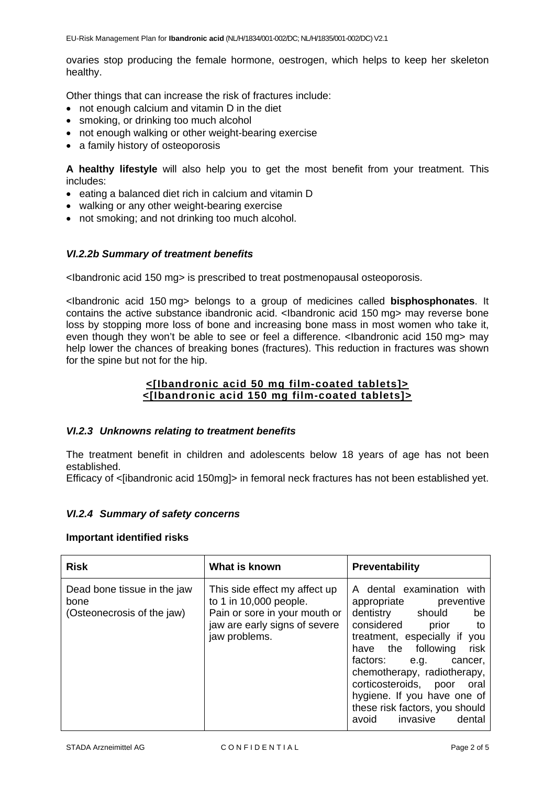ovaries stop producing the female hormone, oestrogen, which helps to keep her skeleton healthy.

Other things that can increase the risk of fractures include:

- not enough calcium and vitamin D in the diet
- smoking, or drinking too much alcohol
- not enough walking or other weight-bearing exercise
- a family history of osteoporosis

**A healthy lifestyle** will also help you to get the most benefit from your treatment. This includes:

- eating a balanced diet rich in calcium and vitamin D
- walking or any other weight-bearing exercise
- not smoking; and not drinking too much alcohol.

## *VI.2.2b Summary of treatment benefits*

<Ibandronic acid 150 mg> is prescribed to treat postmenopausal osteoporosis.

<Ibandronic acid 150 mg> belongs to a group of medicines called **bisphosphonates**. It contains the active substance ibandronic acid. <Ibandronic acid 150 mg> may reverse bone loss by stopping more loss of bone and increasing bone mass in most women who take it, even though they won't be able to see or feel a difference. <Ibandronic acid 150 mg> may help lower the chances of breaking bones (fractures). This reduction in fractures was shown for the spine but not for the hip.

## **<[Ibandronic acid 50 mg film-coated tablets]> <[Ibandronic acid 150 mg film-coated tablets]>**

## *VI.2.3 Unknowns relating to treatment benefits*

The treatment benefit in children and adolescents below 18 years of age has not been established.

Efficacy of <libandronic acid 150mg > in femoral neck fractures has not been established yet.

## *VI.2.4 Summary of safety concerns*

## **Important identified risks**

| <b>Risk</b>                                                       | What is known                                                                                                                              | <b>Preventability</b>                                                                                                                                                                                                                                                                                                                                                              |
|-------------------------------------------------------------------|--------------------------------------------------------------------------------------------------------------------------------------------|------------------------------------------------------------------------------------------------------------------------------------------------------------------------------------------------------------------------------------------------------------------------------------------------------------------------------------------------------------------------------------|
| Dead bone tissue in the jaw<br>bone<br>(Osteonecrosis of the jaw) | This side effect my affect up<br>to 1 in 10,000 people.<br>Pain or sore in your mouth or<br>jaw are early signs of severe<br>jaw problems. | A dental examination<br>with<br>appropriate preventive<br>dentistry should<br>be<br>considered<br>prior<br>to t<br>treatment, especially if<br>you<br>risk<br>have the following<br>factors:<br>e.g.<br>cancer.<br>chemotherapy, radiotherapy,<br>corticosteroids,<br>oral<br>poor<br>hygiene. If you have one of<br>these risk factors, you should<br>invasive<br>dental<br>avoid |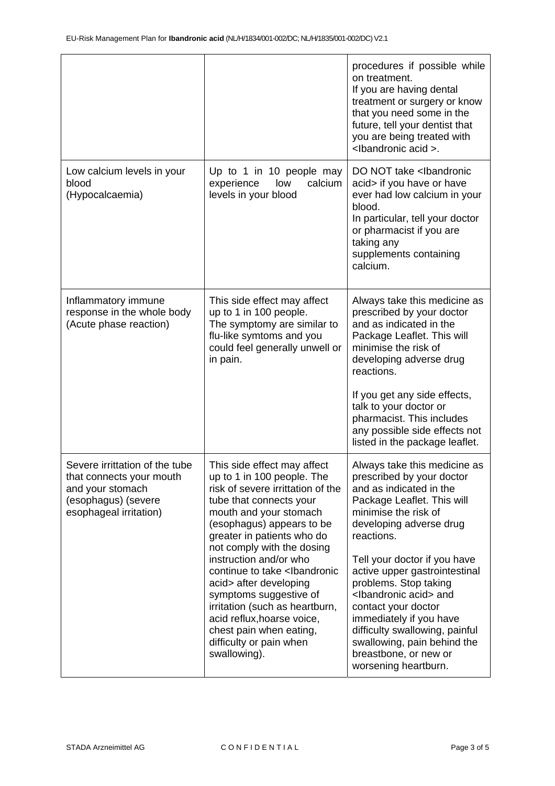|                                                                                                                                 |                                                                                                                                                                                                                                                                                                                                                                                                                                                                                                                           | procedures if possible while<br>on treatment.<br>If you are having dental<br>treatment or surgery or know<br>that you need some in the<br>future, tell your dentist that<br>you are being treated with<br><lbandronic acid="">.</lbandronic>                                                                                                                                                                                                                                                     |  |
|---------------------------------------------------------------------------------------------------------------------------------|---------------------------------------------------------------------------------------------------------------------------------------------------------------------------------------------------------------------------------------------------------------------------------------------------------------------------------------------------------------------------------------------------------------------------------------------------------------------------------------------------------------------------|--------------------------------------------------------------------------------------------------------------------------------------------------------------------------------------------------------------------------------------------------------------------------------------------------------------------------------------------------------------------------------------------------------------------------------------------------------------------------------------------------|--|
| Low calcium levels in your<br>blood<br>(Hypocalcaemia)                                                                          | Up to 1 in 10 people may<br>low<br>calcium<br>experience<br>levels in your blood                                                                                                                                                                                                                                                                                                                                                                                                                                          | DO NOT take <lbandronic<br>acid&gt; if you have or have<br/>ever had low calcium in your<br/>blood.<br/>In particular, tell your doctor<br/>or pharmacist if you are<br/>taking any<br/>supplements containing<br/>calcium.</lbandronic<br>                                                                                                                                                                                                                                                      |  |
| Inflammatory immune<br>response in the whole body<br>(Acute phase reaction)                                                     | This side effect may affect<br>up to 1 in 100 people.<br>The symptomy are similar to<br>flu-like symtoms and you<br>could feel generally unwell or<br>in pain.                                                                                                                                                                                                                                                                                                                                                            | Always take this medicine as<br>prescribed by your doctor<br>and as indicated in the<br>Package Leaflet. This will<br>minimise the risk of<br>developing adverse drug<br>reactions.<br>If you get any side effects,<br>talk to your doctor or<br>pharmacist. This includes<br>any possible side effects not<br>listed in the package leaflet.                                                                                                                                                    |  |
| Severe irrittation of the tube<br>that connects your mouth<br>and your stomach<br>(esophagus) (severe<br>esophageal irritation) | This side effect may affect<br>up to 1 in 100 people. The<br>risk of severe irrittation of the<br>tube that connects your<br>mouth and your stomach<br>(esophagus) appears to be<br>greater in patients who do<br>not comply with the dosing<br>instruction and/or who<br>continue to take <lbandronic<br>acid&gt; after developing<br/>symptoms suggestive of<br/>irritation (such as heartburn,<br/>acid reflux, hoarse voice,<br/>chest pain when eating,<br/>difficulty or pain when<br/>swallowing).</lbandronic<br> | Always take this medicine as<br>prescribed by your doctor<br>and as indicated in the<br>Package Leaflet. This will<br>minimise the risk of<br>developing adverse drug<br>reactions.<br>Tell your doctor if you have<br>active upper gastrointestinal<br>problems. Stop taking<br><lbandronic acid=""> and<br/>contact your doctor<br/>immediately if you have<br/>difficulty swallowing, painful<br/>swallowing, pain behind the<br/>breastbone, or new or<br/>worsening heartburn.</lbandronic> |  |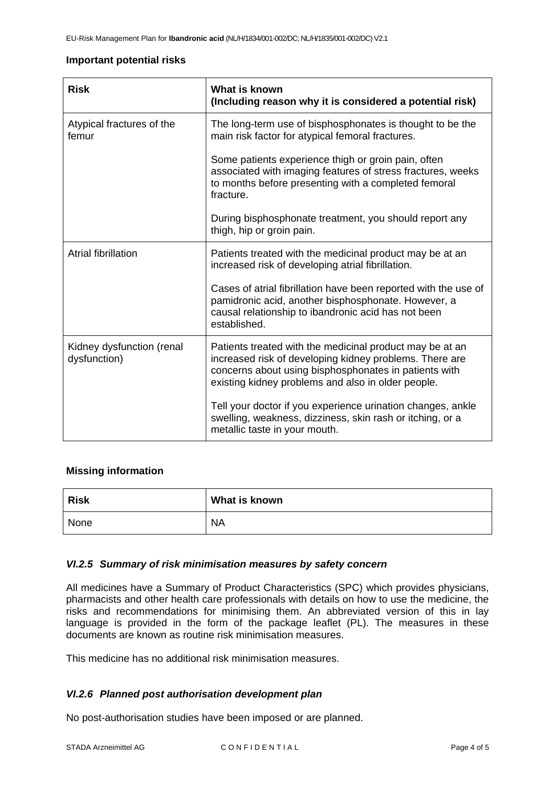### **Important potential risks**

| <b>Risk</b>                               | What is known<br>(Including reason why it is considered a potential risk)                                                                                                                                                          |  |
|-------------------------------------------|------------------------------------------------------------------------------------------------------------------------------------------------------------------------------------------------------------------------------------|--|
| Atypical fractures of the<br>femur        | The long-term use of bisphosphonates is thought to be the<br>main risk factor for atypical femoral fractures.                                                                                                                      |  |
|                                           | Some patients experience thigh or groin pain, often<br>associated with imaging features of stress fractures, weeks<br>to months before presenting with a completed femoral<br>fracture.                                            |  |
|                                           | During bisphosphonate treatment, you should report any<br>thigh, hip or groin pain.                                                                                                                                                |  |
| <b>Atrial fibrillation</b>                | Patients treated with the medicinal product may be at an<br>increased risk of developing atrial fibrillation.                                                                                                                      |  |
|                                           | Cases of atrial fibrillation have been reported with the use of<br>pamidronic acid, another bisphosphonate. However, a<br>causal relationship to ibandronic acid has not been<br>established.                                      |  |
| Kidney dysfunction (renal<br>dysfunction) | Patients treated with the medicinal product may be at an<br>increased risk of developing kidney problems. There are<br>concerns about using bisphosphonates in patients with<br>existing kidney problems and also in older people. |  |
|                                           | Tell your doctor if you experience urination changes, ankle<br>swelling, weakness, dizziness, skin rash or itching, or a<br>metallic taste in your mouth.                                                                          |  |

## **Missing information**

| <b>Risk</b> | What is known |
|-------------|---------------|
| None        | <b>NA</b>     |

## *VI.2.5 Summary of risk minimisation measures by safety concern*

All medicines have a Summary of Product Characteristics (SPC) which provides physicians, pharmacists and other health care professionals with details on how to use the medicine, the risks and recommendations for minimising them. An abbreviated version of this in lay language is provided in the form of the package leaflet (PL). The measures in these documents are known as routine risk minimisation measures.

This medicine has no additional risk minimisation measures.

# *VI.2.6 Planned post authorisation development plan*

No post-authorisation studies have been imposed or are planned.